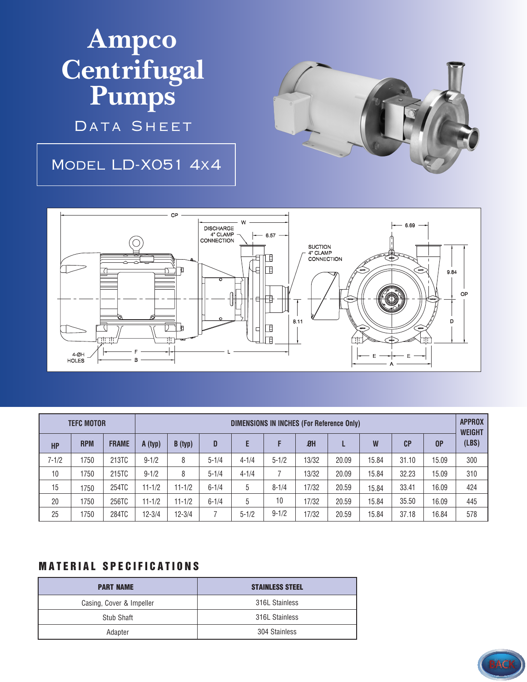**Ampco Centrifugal Pumps**

DATA SHEET

## Model LD-X051 4x4





|           | <b>TEFC MOTOR</b> |              | <b>DIMENSIONS IN INCHES (For Reference Only)</b> |            |           |           |           |           |       |       |       |       | <b>APPROX</b><br><b>WEIGHT</b> |
|-----------|-------------------|--------------|--------------------------------------------------|------------|-----------|-----------|-----------|-----------|-------|-------|-------|-------|--------------------------------|
| <b>HP</b> | <b>RPM</b>        | <b>FRAME</b> | A (typ)                                          | B(typ)     | D         | E         | F         | <b>ØH</b> |       | W     | CP    | 0P    | (LBS)                          |
| $7 - 1/2$ | 1750              | 213TC        | $9 - 1/2$                                        | 8          | $5 - 1/4$ | $4 - 1/4$ | $5 - 1/2$ | 13/32     | 20.09 | 15.84 | 31.10 | 15.09 | 300                            |
| 10        | 1750              | 215TC        | $9 - 1/2$                                        | 8          | $5 - 1/4$ | $4 - 1/4$ |           | 13/32     | 20.09 | 15.84 | 32.23 | 15.09 | 310                            |
| 15        | 1750              | 254TC        | $11 - 1/2$                                       | $11 - 1/2$ | $6 - 1/4$ | 5         | $8 - 1/4$ | 17/32     | 20.59 | 15.84 | 33.41 | 16.09 | 424                            |
| 20        | 1750              | 256TC        | $11 - 1/2$                                       | $11 - 1/2$ | $6 - 1/4$ | 5         | 10        | 17/32     | 20.59 | 15.84 | 35.50 | 16.09 | 445                            |
| 25        | 1750              | 284TC        | $12 - 3/4$                                       | $12 - 3/4$ |           | $5 - 1/2$ | $9 - 1/2$ | 17/32     | 20.59 | 15.84 | 37.18 | 16.84 | 578                            |

## **MATERIAL SPECIFICATIONS**

| <b>PART NAME</b>         | <b>STAINLESS STEEL</b> |  |  |  |
|--------------------------|------------------------|--|--|--|
| Casing, Cover & Impeller | 316L Stainless         |  |  |  |
| Stub Shaft               | 316L Stainless         |  |  |  |
| Adapter                  | 304 Stainless          |  |  |  |